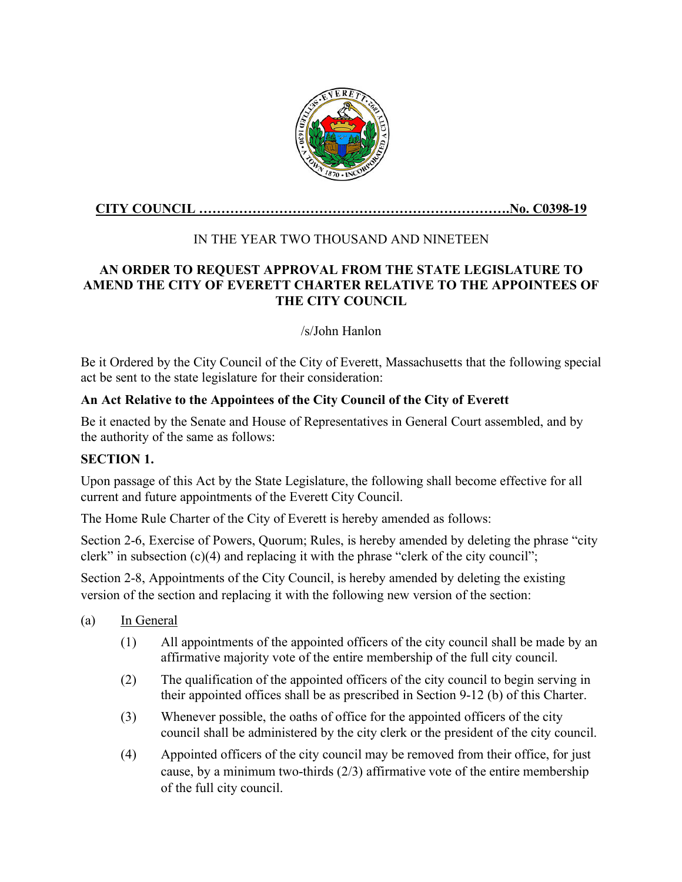

## **CITY COUNCIL …………………………………………………………….No. C0398-19**

# IN THE YEAR TWO THOUSAND AND NINETEEN

### **AN ORDER TO REQUEST APPROVAL FROM THE STATE LEGISLATURE TO AMEND THE CITY OF EVERETT CHARTER RELATIVE TO THE APPOINTEES OF THE CITY COUNCIL**

### /s/John Hanlon

Be it Ordered by the City Council of the City of Everett, Massachusetts that the following special act be sent to the state legislature for their consideration:

### **An Act Relative to the Appointees of the City Council of the City of Everett**

Be it enacted by the Senate and House of Representatives in General Court assembled, and by the authority of the same as follows:

#### **SECTION 1.**

Upon passage of this Act by the State Legislature, the following shall become effective for all current and future appointments of the Everett City Council.

The Home Rule Charter of the City of Everett is hereby amended as follows:

Section 2-6, Exercise of Powers, Quorum; Rules, is hereby amended by deleting the phrase "city clerk" in subsection  $(c)(4)$  and replacing it with the phrase "clerk of the city council";

Section 2-8, Appointments of the City Council, is hereby amended by deleting the existing version of the section and replacing it with the following new version of the section:

- (a) In General
	- (1) All appointments of the appointed officers of the city council shall be made by an affirmative majority vote of the entire membership of the full city council.
	- (2) The qualification of the appointed officers of the city council to begin serving in their appointed offices shall be as prescribed in Section 9-12 (b) of this Charter.
	- (3) Whenever possible, the oaths of office for the appointed officers of the city council shall be administered by the city clerk or the president of the city council.
	- (4) Appointed officers of the city council may be removed from their office, for just cause, by a minimum two-thirds (2/3) affirmative vote of the entire membership of the full city council.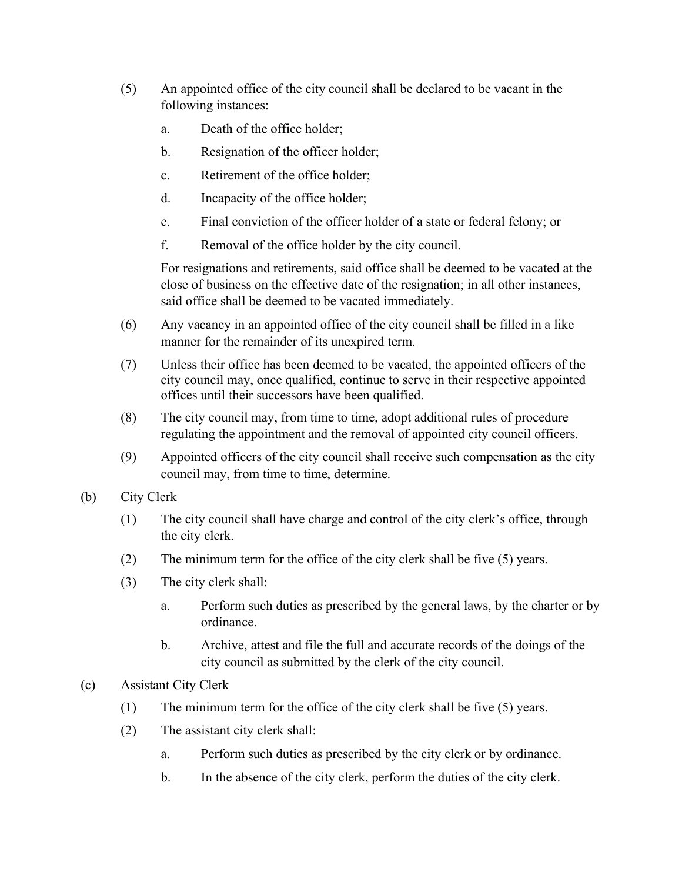- (5) An appointed office of the city council shall be declared to be vacant in the following instances:
	- a. Death of the office holder;
	- b. Resignation of the officer holder;
	- c. Retirement of the office holder;
	- d. Incapacity of the office holder;
	- e. Final conviction of the officer holder of a state or federal felony; or
	- f. Removal of the office holder by the city council.

For resignations and retirements, said office shall be deemed to be vacated at the close of business on the effective date of the resignation; in all other instances, said office shall be deemed to be vacated immediately.

- (6) Any vacancy in an appointed office of the city council shall be filled in a like manner for the remainder of its unexpired term.
- (7) Unless their office has been deemed to be vacated, the appointed officers of the city council may, once qualified, continue to serve in their respective appointed offices until their successors have been qualified.
- (8) The city council may, from time to time, adopt additional rules of procedure regulating the appointment and the removal of appointed city council officers.
- (9) Appointed officers of the city council shall receive such compensation as the city council may, from time to time, determine.
- (b) City Clerk
	- (1) The city council shall have charge and control of the city clerk's office, through the city clerk.
	- (2) The minimum term for the office of the city clerk shall be five (5) years.
	- (3) The city clerk shall:
		- a. Perform such duties as prescribed by the general laws, by the charter or by ordinance.
		- b. Archive, attest and file the full and accurate records of the doings of the city council as submitted by the clerk of the city council.
- (c) Assistant City Clerk
	- (1) The minimum term for the office of the city clerk shall be five (5) years.
	- (2) The assistant city clerk shall:
		- a. Perform such duties as prescribed by the city clerk or by ordinance.
		- b. In the absence of the city clerk, perform the duties of the city clerk.